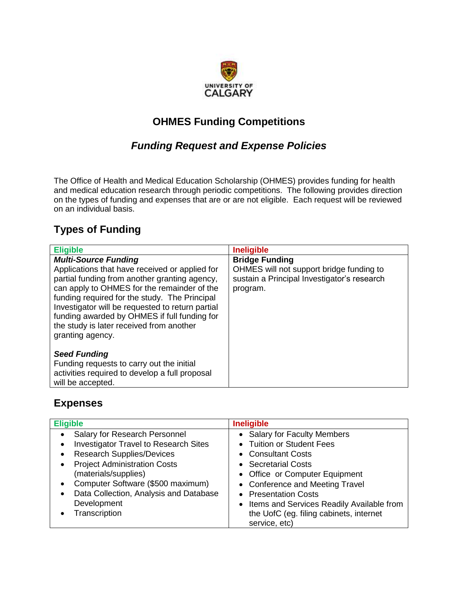

# **OHMES Funding Competitions**

## *Funding Request and Expense Policies*

The Office of Health and Medical Education Scholarship (OHMES) provides funding for health and medical education research through periodic competitions. The following provides direction on the types of funding and expenses that are or are not eligible. Each request will be reviewed on an individual basis.

# **Types of Funding**

| <b>Eligible</b>                                                                                                                                                                                                                                                                                                                                                                                    | <b>Ineligible</b>                                                                                                            |
|----------------------------------------------------------------------------------------------------------------------------------------------------------------------------------------------------------------------------------------------------------------------------------------------------------------------------------------------------------------------------------------------------|------------------------------------------------------------------------------------------------------------------------------|
| <b>Multi-Source Funding</b><br>Applications that have received or applied for<br>partial funding from another granting agency,<br>can apply to OHMES for the remainder of the<br>funding required for the study. The Principal<br>Investigator will be requested to return partial<br>funding awarded by OHMES if full funding for<br>the study is later received from another<br>granting agency. | <b>Bridge Funding</b><br>OHMES will not support bridge funding to<br>sustain a Principal Investigator's research<br>program. |
| <b>Seed Funding</b><br>Funding requests to carry out the initial<br>activities required to develop a full proposal<br>will be accepted.                                                                                                                                                                                                                                                            |                                                                                                                              |

## **Expenses**

| <b>Eligible</b>                                           | <b>Ineligible</b>                           |
|-----------------------------------------------------------|---------------------------------------------|
| Salary for Research Personnel                             | • Salary for Faculty Members                |
| <b>Investigator Travel to Research Sites</b><br>$\bullet$ | • Tuition or Student Fees                   |
| <b>Research Supplies/Devices</b>                          | • Consultant Costs                          |
| <b>Project Administration Costs</b><br>$\bullet$          | • Secretarial Costs                         |
| (materials/supplies)                                      | • Office or Computer Equipment              |
| Computer Software (\$500 maximum)<br>$\bullet$            | • Conference and Meeting Travel             |
| Data Collection, Analysis and Database                    | • Presentation Costs                        |
| Development                                               | • Items and Services Readily Available from |
| Transcription                                             | the UofC (eg. filing cabinets, internet     |
|                                                           | service, etc)                               |